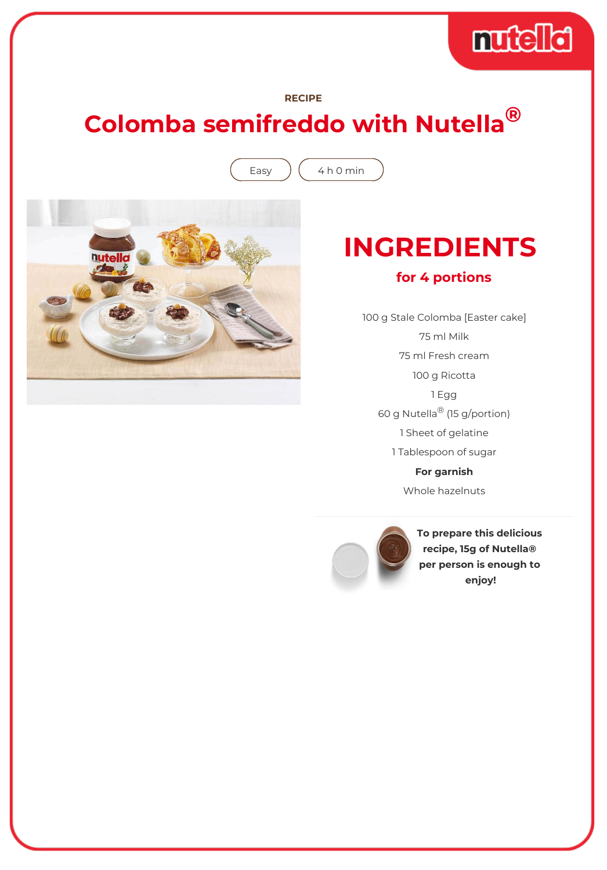

#### **RECIPE**

# **Colomba semifreddo with Nutella®**

Easy  $(4 h 0 min)$ 



# **INGREDIENTS**

### **for 4 portions**

100 g Stale Colomba [Easter cake] 75 ml Milk 75 ml Fresh cream 100 g Ricotta 1 Egg 60 g Nutella® (15 g/portion) 1 Sheet of gelatine 1 Tablespoon of sugar **For garnish** Whole hazelnuts



**To prepare this delicious recipe, 15g of Nutella® per person is enough to enjoy!**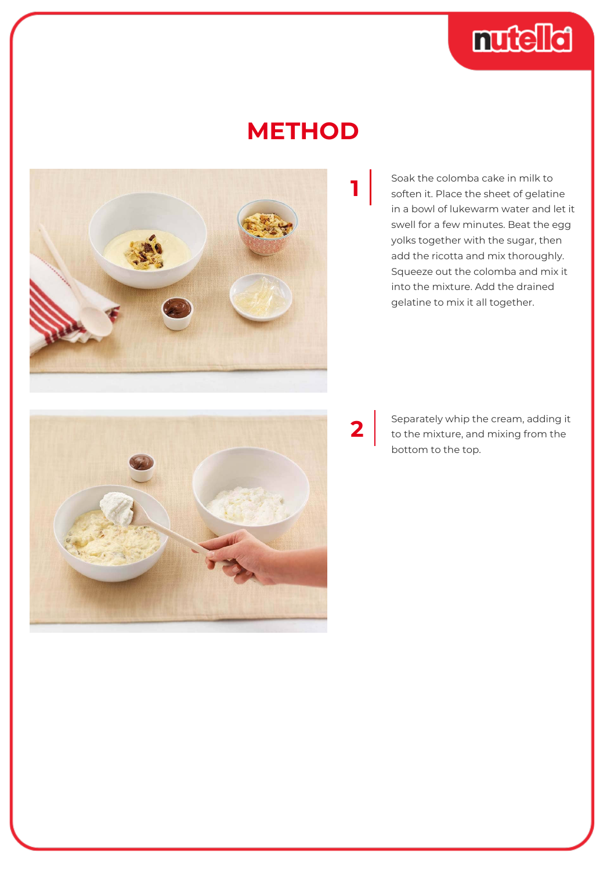

### **METHOD**

**2**



Soak the colomba cake in milk to soften it. Place the sheet of gelatine in a bowl of lukewarm water and let it swell for a few minutes. Beat the egg yolks together with the sugar, then add the ricotta and mix thoroughly. Squeeze out the colomba and mix it into the mixture. Add the drained gelatine to mix it all together.



Separately whip the cream, adding it to the mixture, and mixing from the bottom to the top.